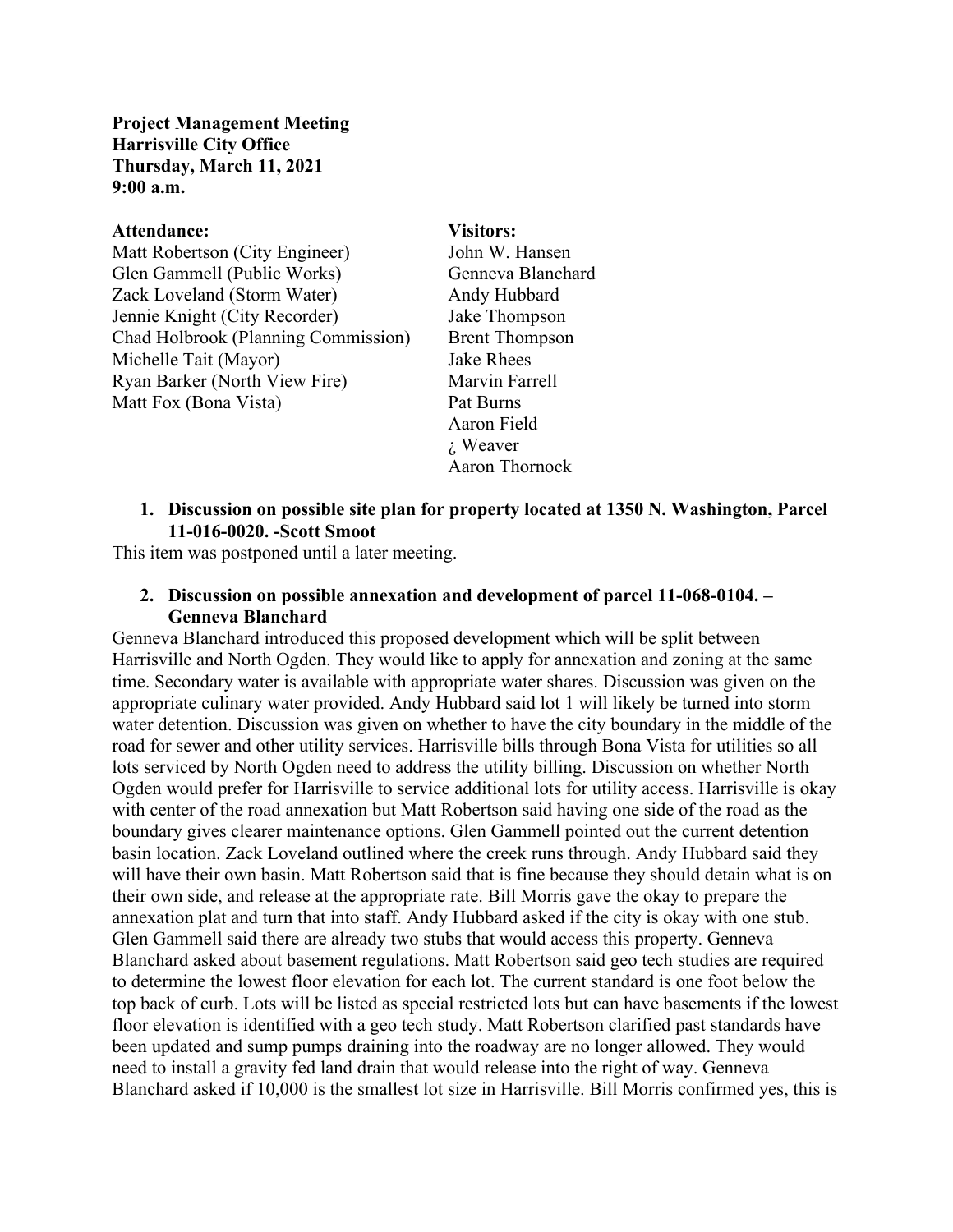**Project Management Meeting Harrisville City Office Thursday, March 11, 2021 9:00 a.m.**

# **Attendance: Visitors:** Matt Robertson (City Engineer) John W. Hansen Glen Gammell (Public Works) Genneva Blanchard Zack Loveland (Storm Water) Andy Hubbard Jennie Knight (City Recorder) Jake Thompson Chad Holbrook (Planning Commission) Brent Thompson Michelle Tait (Mayor) Jake Rhees Ryan Barker (North View Fire) Marvin Farrell Matt Fox (Bona Vista) Pat Burns

Aaron Field ¿ Weaver Aaron Thornock

## **1. Discussion on possible site plan for property located at 1350 N. Washington, Parcel 11-016-0020. -Scott Smoot**

This item was postponed until a later meeting.

# **2. Discussion on possible annexation and development of parcel 11-068-0104. – Genneva Blanchard**

Genneva Blanchard introduced this proposed development which will be split between Harrisville and North Ogden. They would like to apply for annexation and zoning at the same time. Secondary water is available with appropriate water shares. Discussion was given on the appropriate culinary water provided. Andy Hubbard said lot 1 will likely be turned into storm water detention. Discussion was given on whether to have the city boundary in the middle of the road for sewer and other utility services. Harrisville bills through Bona Vista for utilities so all lots serviced by North Ogden need to address the utility billing. Discussion on whether North Ogden would prefer for Harrisville to service additional lots for utility access. Harrisville is okay with center of the road annexation but Matt Robertson said having one side of the road as the boundary gives clearer maintenance options. Glen Gammell pointed out the current detention basin location. Zack Loveland outlined where the creek runs through. Andy Hubbard said they will have their own basin. Matt Robertson said that is fine because they should detain what is on their own side, and release at the appropriate rate. Bill Morris gave the okay to prepare the annexation plat and turn that into staff. Andy Hubbard asked if the city is okay with one stub. Glen Gammell said there are already two stubs that would access this property. Genneva Blanchard asked about basement regulations. Matt Robertson said geo tech studies are required to determine the lowest floor elevation for each lot. The current standard is one foot below the top back of curb. Lots will be listed as special restricted lots but can have basements if the lowest floor elevation is identified with a geo tech study. Matt Robertson clarified past standards have been updated and sump pumps draining into the roadway are no longer allowed. They would need to install a gravity fed land drain that would release into the right of way. Genneva Blanchard asked if 10,000 is the smallest lot size in Harrisville. Bill Morris confirmed yes, this is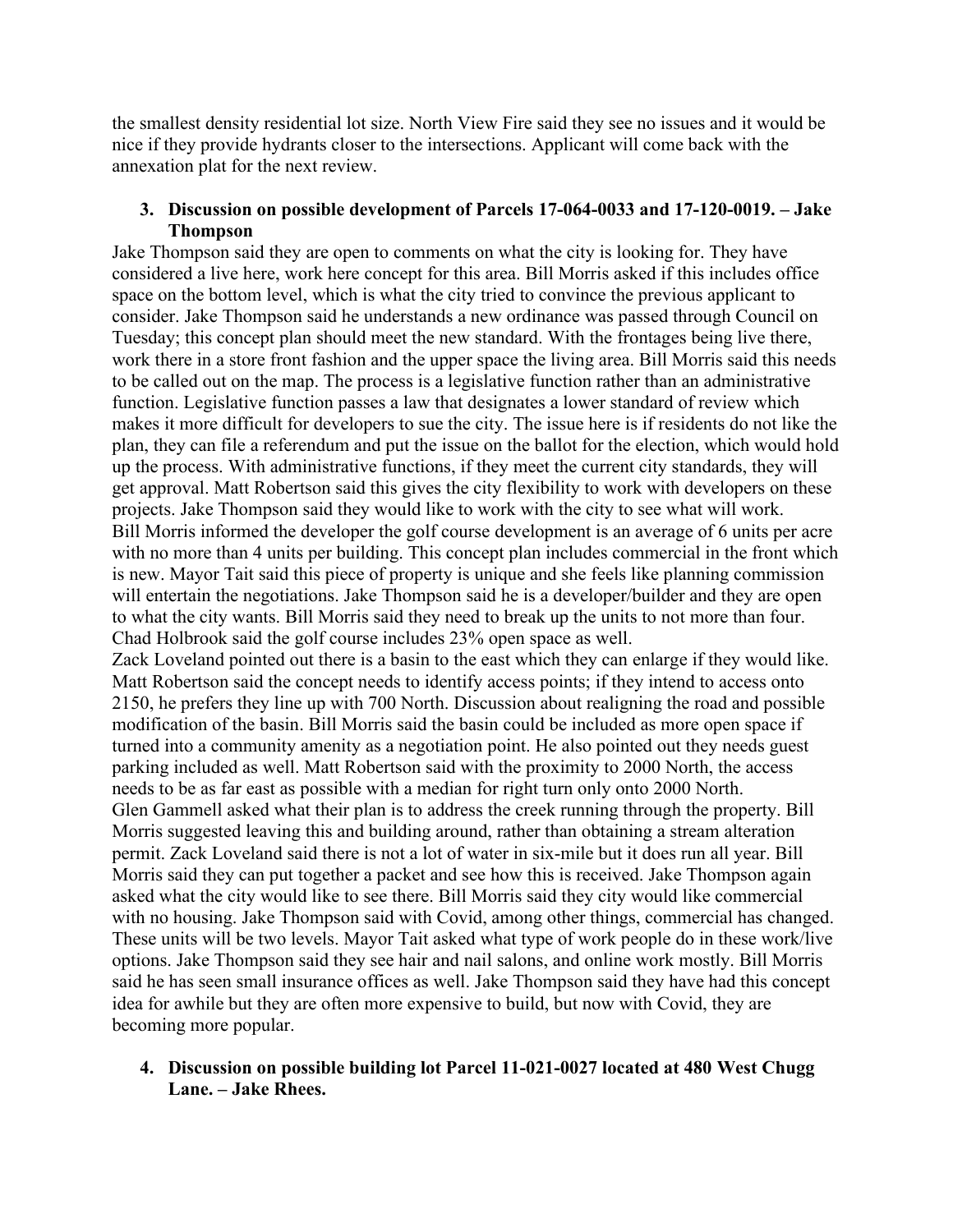the smallest density residential lot size. North View Fire said they see no issues and it would be nice if they provide hydrants closer to the intersections. Applicant will come back with the annexation plat for the next review.

# **3. Discussion on possible development of Parcels 17-064-0033 and 17-120-0019. – Jake Thompson**

Jake Thompson said they are open to comments on what the city is looking for. They have considered a live here, work here concept for this area. Bill Morris asked if this includes office space on the bottom level, which is what the city tried to convince the previous applicant to consider. Jake Thompson said he understands a new ordinance was passed through Council on Tuesday; this concept plan should meet the new standard. With the frontages being live there, work there in a store front fashion and the upper space the living area. Bill Morris said this needs to be called out on the map. The process is a legislative function rather than an administrative function. Legislative function passes a law that designates a lower standard of review which makes it more difficult for developers to sue the city. The issue here is if residents do not like the plan, they can file a referendum and put the issue on the ballot for the election, which would hold up the process. With administrative functions, if they meet the current city standards, they will get approval. Matt Robertson said this gives the city flexibility to work with developers on these projects. Jake Thompson said they would like to work with the city to see what will work. Bill Morris informed the developer the golf course development is an average of 6 units per acre with no more than 4 units per building. This concept plan includes commercial in the front which is new. Mayor Tait said this piece of property is unique and she feels like planning commission will entertain the negotiations. Jake Thompson said he is a developer/builder and they are open to what the city wants. Bill Morris said they need to break up the units to not more than four. Chad Holbrook said the golf course includes 23% open space as well.

Zack Loveland pointed out there is a basin to the east which they can enlarge if they would like. Matt Robertson said the concept needs to identify access points; if they intend to access onto 2150, he prefers they line up with 700 North. Discussion about realigning the road and possible modification of the basin. Bill Morris said the basin could be included as more open space if turned into a community amenity as a negotiation point. He also pointed out they needs guest parking included as well. Matt Robertson said with the proximity to 2000 North, the access needs to be as far east as possible with a median for right turn only onto 2000 North. Glen Gammell asked what their plan is to address the creek running through the property. Bill Morris suggested leaving this and building around, rather than obtaining a stream alteration permit. Zack Loveland said there is not a lot of water in six-mile but it does run all year. Bill Morris said they can put together a packet and see how this is received. Jake Thompson again asked what the city would like to see there. Bill Morris said they city would like commercial with no housing. Jake Thompson said with Covid, among other things, commercial has changed. These units will be two levels. Mayor Tait asked what type of work people do in these work/live options. Jake Thompson said they see hair and nail salons, and online work mostly. Bill Morris said he has seen small insurance offices as well. Jake Thompson said they have had this concept idea for awhile but they are often more expensive to build, but now with Covid, they are becoming more popular.

# **4. Discussion on possible building lot Parcel 11-021-0027 located at 480 West Chugg Lane. – Jake Rhees.**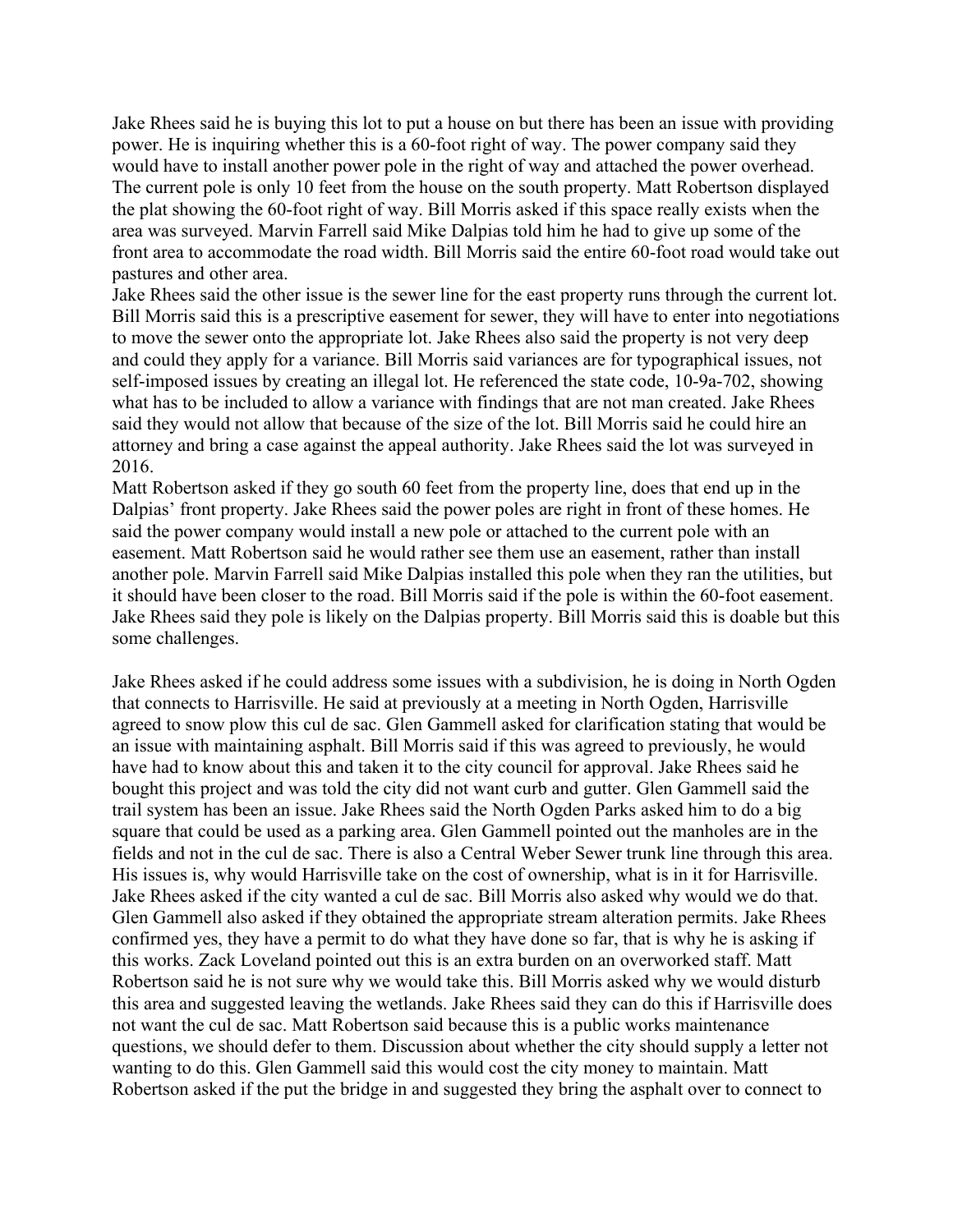Jake Rhees said he is buying this lot to put a house on but there has been an issue with providing power. He is inquiring whether this is a 60-foot right of way. The power company said they would have to install another power pole in the right of way and attached the power overhead. The current pole is only 10 feet from the house on the south property. Matt Robertson displayed the plat showing the 60-foot right of way. Bill Morris asked if this space really exists when the area was surveyed. Marvin Farrell said Mike Dalpias told him he had to give up some of the front area to accommodate the road width. Bill Morris said the entire 60-foot road would take out pastures and other area.

Jake Rhees said the other issue is the sewer line for the east property runs through the current lot. Bill Morris said this is a prescriptive easement for sewer, they will have to enter into negotiations to move the sewer onto the appropriate lot. Jake Rhees also said the property is not very deep and could they apply for a variance. Bill Morris said variances are for typographical issues, not self-imposed issues by creating an illegal lot. He referenced the state code, 10-9a-702, showing what has to be included to allow a variance with findings that are not man created. Jake Rhees said they would not allow that because of the size of the lot. Bill Morris said he could hire an attorney and bring a case against the appeal authority. Jake Rhees said the lot was surveyed in 2016.

Matt Robertson asked if they go south 60 feet from the property line, does that end up in the Dalpias' front property. Jake Rhees said the power poles are right in front of these homes. He said the power company would install a new pole or attached to the current pole with an easement. Matt Robertson said he would rather see them use an easement, rather than install another pole. Marvin Farrell said Mike Dalpias installed this pole when they ran the utilities, but it should have been closer to the road. Bill Morris said if the pole is within the 60-foot easement. Jake Rhees said they pole is likely on the Dalpias property. Bill Morris said this is doable but this some challenges.

Jake Rhees asked if he could address some issues with a subdivision, he is doing in North Ogden that connects to Harrisville. He said at previously at a meeting in North Ogden, Harrisville agreed to snow plow this cul de sac. Glen Gammell asked for clarification stating that would be an issue with maintaining asphalt. Bill Morris said if this was agreed to previously, he would have had to know about this and taken it to the city council for approval. Jake Rhees said he bought this project and was told the city did not want curb and gutter. Glen Gammell said the trail system has been an issue. Jake Rhees said the North Ogden Parks asked him to do a big square that could be used as a parking area. Glen Gammell pointed out the manholes are in the fields and not in the cul de sac. There is also a Central Weber Sewer trunk line through this area. His issues is, why would Harrisville take on the cost of ownership, what is in it for Harrisville. Jake Rhees asked if the city wanted a cul de sac. Bill Morris also asked why would we do that. Glen Gammell also asked if they obtained the appropriate stream alteration permits. Jake Rhees confirmed yes, they have a permit to do what they have done so far, that is why he is asking if this works. Zack Loveland pointed out this is an extra burden on an overworked staff. Matt Robertson said he is not sure why we would take this. Bill Morris asked why we would disturb this area and suggested leaving the wetlands. Jake Rhees said they can do this if Harrisville does not want the cul de sac. Matt Robertson said because this is a public works maintenance questions, we should defer to them. Discussion about whether the city should supply a letter not wanting to do this. Glen Gammell said this would cost the city money to maintain. Matt Robertson asked if the put the bridge in and suggested they bring the asphalt over to connect to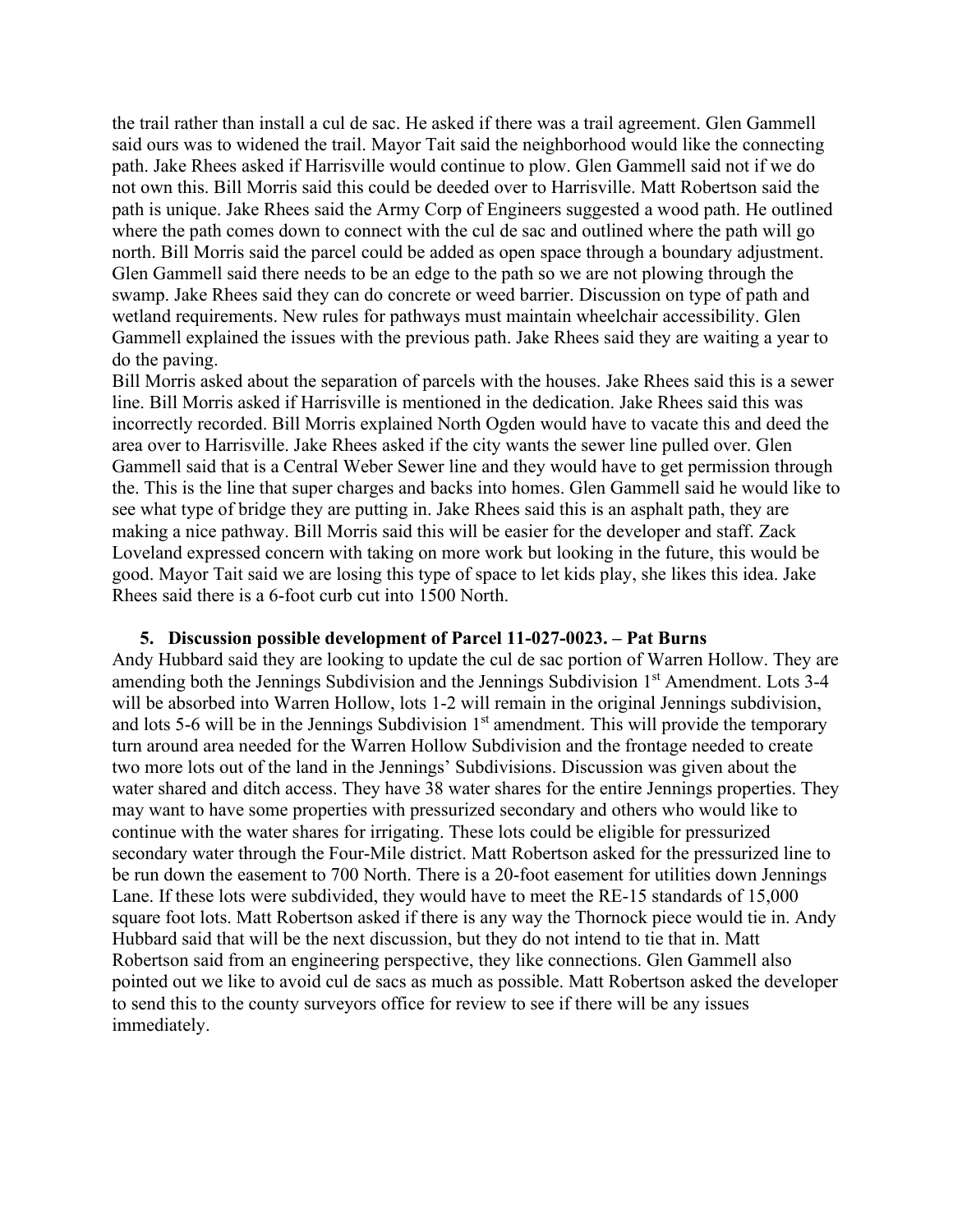the trail rather than install a cul de sac. He asked if there was a trail agreement. Glen Gammell said ours was to widened the trail. Mayor Tait said the neighborhood would like the connecting path. Jake Rhees asked if Harrisville would continue to plow. Glen Gammell said not if we do not own this. Bill Morris said this could be deeded over to Harrisville. Matt Robertson said the path is unique. Jake Rhees said the Army Corp of Engineers suggested a wood path. He outlined where the path comes down to connect with the cul de sac and outlined where the path will go north. Bill Morris said the parcel could be added as open space through a boundary adjustment. Glen Gammell said there needs to be an edge to the path so we are not plowing through the swamp. Jake Rhees said they can do concrete or weed barrier. Discussion on type of path and wetland requirements. New rules for pathways must maintain wheelchair accessibility. Glen Gammell explained the issues with the previous path. Jake Rhees said they are waiting a year to do the paving.

Bill Morris asked about the separation of parcels with the houses. Jake Rhees said this is a sewer line. Bill Morris asked if Harrisville is mentioned in the dedication. Jake Rhees said this was incorrectly recorded. Bill Morris explained North Ogden would have to vacate this and deed the area over to Harrisville. Jake Rhees asked if the city wants the sewer line pulled over. Glen Gammell said that is a Central Weber Sewer line and they would have to get permission through the. This is the line that super charges and backs into homes. Glen Gammell said he would like to see what type of bridge they are putting in. Jake Rhees said this is an asphalt path, they are making a nice pathway. Bill Morris said this will be easier for the developer and staff. Zack Loveland expressed concern with taking on more work but looking in the future, this would be good. Mayor Tait said we are losing this type of space to let kids play, she likes this idea. Jake Rhees said there is a 6-foot curb cut into 1500 North.

#### **5. Discussion possible development of Parcel 11-027-0023. – Pat Burns**

Andy Hubbard said they are looking to update the cul de sac portion of Warren Hollow. They are amending both the Jennings Subdivision and the Jennings Subdivision  $1<sup>st</sup>$  Amendment. Lots 3-4 will be absorbed into Warren Hollow, lots 1-2 will remain in the original Jennings subdivision, and lots 5-6 will be in the Jennings Subdivision  $1<sup>st</sup>$  amendment. This will provide the temporary turn around area needed for the Warren Hollow Subdivision and the frontage needed to create two more lots out of the land in the Jennings' Subdivisions. Discussion was given about the water shared and ditch access. They have 38 water shares for the entire Jennings properties. They may want to have some properties with pressurized secondary and others who would like to continue with the water shares for irrigating. These lots could be eligible for pressurized secondary water through the Four-Mile district. Matt Robertson asked for the pressurized line to be run down the easement to 700 North. There is a 20-foot easement for utilities down Jennings Lane. If these lots were subdivided, they would have to meet the RE-15 standards of 15,000 square foot lots. Matt Robertson asked if there is any way the Thornock piece would tie in. Andy Hubbard said that will be the next discussion, but they do not intend to tie that in. Matt Robertson said from an engineering perspective, they like connections. Glen Gammell also pointed out we like to avoid cul de sacs as much as possible. Matt Robertson asked the developer to send this to the county surveyors office for review to see if there will be any issues immediately.